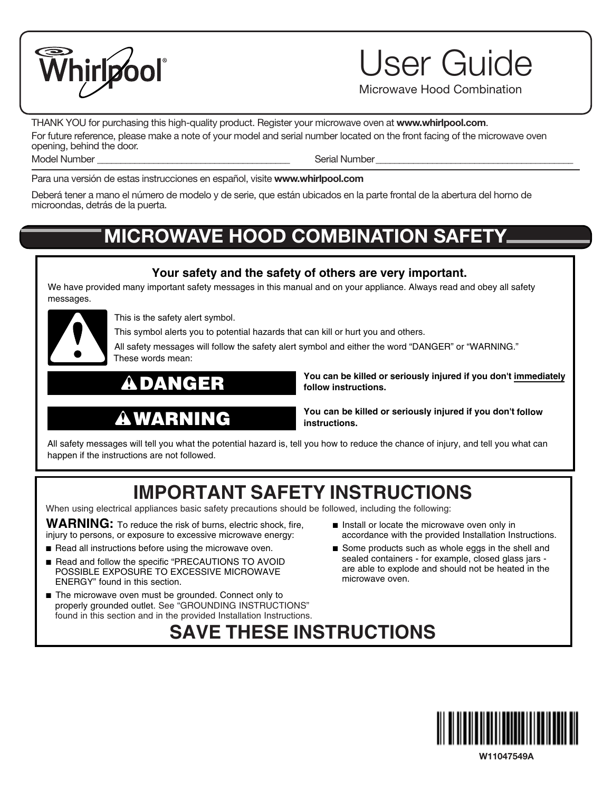

User Guide

Microwave Hood Combination

THANK YOU for purchasing this high-quality product. Register your microwave oven at **www.whirlpool.com**. For future reference, please make a note of your model and serial number located on the front facing of the microwave oven opening, behind the door. Model Number **Example 20** Serial Number

Para una versión de estas instrucciones en español, visite **www.whirlpool.com**

Deberá tener a mano el número de modelo y de serie, que están ubicados en la parte frontal de la abertura del horno de microondas, detrás de la puerta.

## **MICROWAVE HOOD COMBINATION SAFETY**

#### **Your safety and the safety of others are very important.**

We have provided many important safety messages in this manual and on your appliance. Always read and obey all safety messages.



This is the safety alert symbol.

This symbol alerts you to potential hazards that can kill or hurt you and others.

All safety messages will follow the safety alert symbol and either the word "DANGER" or "WARNING." These words mean:

### DANGER

Ą

WARNING

**You can be killed or seriously injured if you don't immediately follow instructions.**

**You can be killed or seriously injured if you don't follow instructions.**

All safety messages will tell you what the potential hazard is, tell you how to reduce the chance of injury, and tell you what can happen if the instructions are not followed.

## **IMPORTANT SAFETY INSTRUCTIONS**

**SAVE THESE INSTRUCTIONS**

When using electrical appliances basic safety precautions should be followed, including the following:

**WARNING:** To reduce the risk of burns, electric shock, fire, injury to persons, or exposure to excessive microwave energy:

- Read all instructions before using the microwave oven.
- Read and follow the specific "PRECAUTIONS TO AVOID POSSIBLE EXPOSURE TO EXCESSIVE MICROWAVE ENERGY" found in this section.
- The microwave oven must be grounded. Connect only to properly grounded outlet. See "GROUNDING INSTRUCTIONS" found in this section and in the provided Installation Instructions.
- Install or locate the microwave oven only in accordance with the provided Installation Instructions.
- Some products such as whole eggs in the shell and sealed containers - for example, closed glass jars are able to explode and should not be heated in the microwave oven.



**W11047549A**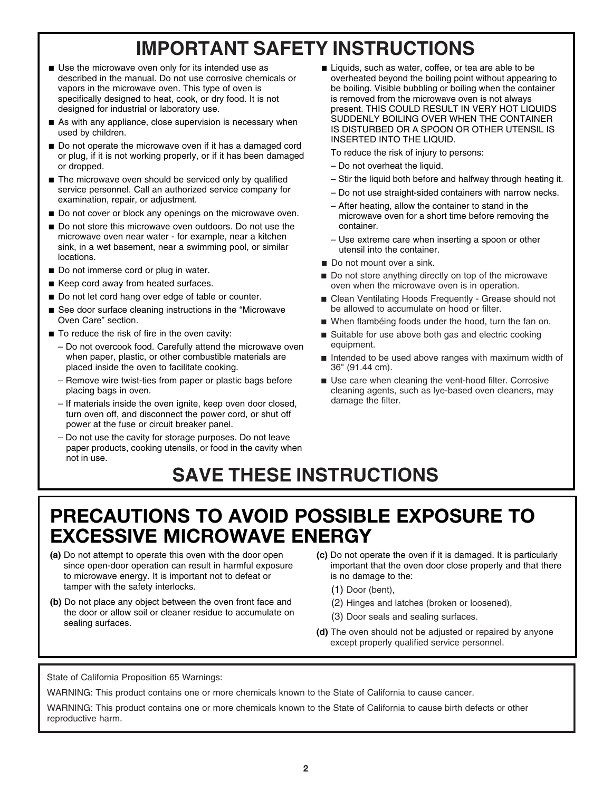# **IMPORTANT SAFETY INSTRUCTIONS**

- Use the microwave oven only for its intended use as described in the manual. Do not use corrosive chemicals or vapors in the microwave oven. This type of oven is specifically designed to heat, cook, or dry food. It is not designed for industrial or laboratory use.
- As with any appliance, close supervision is necessary when used by children.
- Do not operate the microwave oven if it has a damaged cord or plug, if it is not working properly, or if it has been damaged or dropped.
- The microwave oven should be serviced only by qualified service personnel. Call an authorized service company for examination, repair, or adjustment.
- Do not cover or block any openings on the microwave oven.
- Do not store this microwave oven outdoors. Do not use the microwave oven near water - for example, near a kitchen sink, in a wet basement, near a swimming pool, or similar locations.
- Do not immerse cord or plug in water.
- Keep cord away from heated surfaces.
- Do not let cord hang over edge of table or counter.
- See door surface cleaning instructions in the "Microwave Oven Care" section.
- To reduce the risk of fire in the oven cavity:
	- Do not overcook food. Carefully attend the microwave oven when paper, plastic, or other combustible materials are placed inside the oven to facilitate cooking.
	- Remove wire twist-ties from paper or plastic bags before placing bags in oven.
	- If materials inside the oven ignite, keep oven door closed, turn oven off, and disconnect the power cord, or shut off power at the fuse or circuit breaker panel.
	- Do not use the cavity for storage purposes. Do not leave paper products, cooking utensils, or food in the cavity when not in use.

■ Liquids, such as water, coffee, or tea are able to be overheated beyond the boiling point without appearing to be boiling. Visible bubbling or boiling when the container is removed from the microwave oven is not always present. THIS COULD RESULT IN VERY HOT LIQUIDS SUDDENLY BOILING OVER WHEN THE CONTAINER IS DISTURBED OR A SPOON OR OTHER UTENSIL IS INSERTED INTO THE LIQUID.

To reduce the risk of injury to persons:

- Do not overheat the liquid.
- Stir the liquid both before and halfway through heating it.
- Do not use straight-sided containers with narrow necks.
- After heating, allow the container to stand in the microwave oven for a short time before removing the container.
- Use extreme care when inserting a spoon or other utensil into the container.
- Do not mount over a sink.
- Do not store anything directly on top of the microwave oven when the microwave oven is in operation.
- Clean Ventilating Hoods Frequently Grease should not be allowed to accumulate on hood or filter.
- When flambéing foods under the hood, turn the fan on.
- Suitable for use above both gas and electric cooking equipment.
- Intended to be used above ranges with maximum width of 36" (91.44 cm).
- Use care when cleaning the vent-hood filter. Corrosive cleaning agents, such as lye-based oven cleaners, may damage the filter.

## **SAVE THESE INSTRUCTIONS**

### **PRECAUTIONS TO AVOID POSSIBLE EXPOSURE TO EXCESSIVE MICROWAVE ENERGY**

- **(a)** Do not attempt to operate this oven with the door open since open-door operation can result in harmful exposure to microwave energy. It is important not to defeat or tamper with the safety interlocks.
- **(b)** Do not place any object between the oven front face and the door or allow soil or cleaner residue to accumulate on sealing surfaces.
- **(c)** Do not operate the oven if it is damaged. It is particularly important that the oven door close properly and that there is no damage to the:
	- (1) Door (bent),
	- (2) Hinges and latches (broken or loosened),
	- (3) Door seals and sealing surfaces.
- **(d)** The oven should not be adjusted or repaired by anyone except properly qualified service personnel.

State of California Proposition 65 Warnings:

WARNING: This product contains one or more chemicals known to the State of California to cause cancer.

WARNING: This product contains one or more chemicals known to the State of California to cause birth defects or other reproductive harm.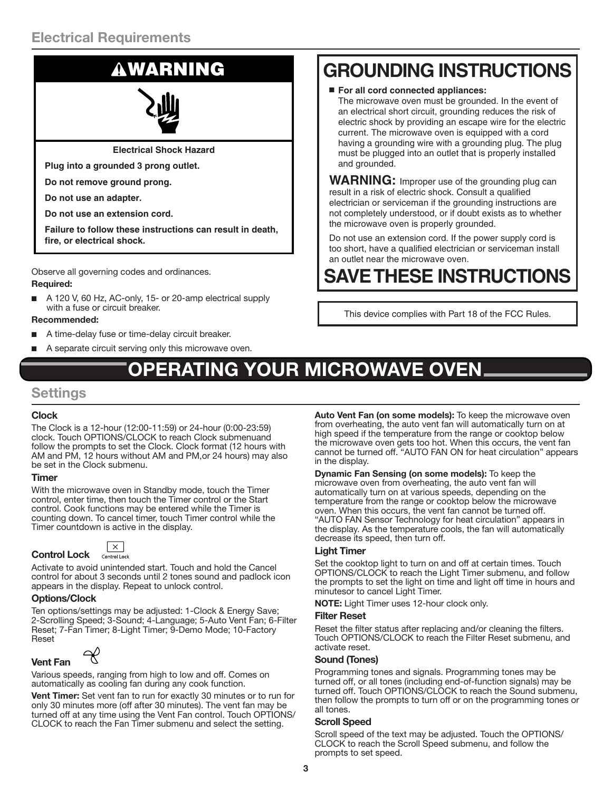### **Electrical Requirements**

**Electrical Shock Hazard**

**Plug into a grounded 3 prong outlet.**

**Do not remove ground prong.**

**Do not use an adapter.**

**Do not use an extension cord.**

**Failure to follow these instructions can result in death, fire, or electrical shock.**

Observe all governing codes and ordinances.

#### **Required:**

A 120 V, 60 Hz, AC-only, 15- or 20-amp electrical supply with a fuse or circuit breaker.

#### **Recommended:**

- A time-delay fuse or time-delay circuit breaker.
- A separate circuit serving only this microwave oven.

# **RATING YOUR MICROWAVE OVEN**

### **Settings**

#### **Clock**

The Clock is a 12-hour (12:00-11:59) or 24-hour (0:00-23:59) clock. Touch OPTIONS/CLOCK to reach Clock submenuand follow the prompts to set the Clock. Clock format (12 hours with AM and PM, 12 hours without AM and PM,or 24 hours) may also be set in the Clock submenu.

#### **Timer**

With the microwave oven in Standby mode, touch the Timer control, enter time, then touch the Timer control or the Start control. Cook functions may be entered while the Timer is counting down. To cancel timer, touch Timer control while the Timer countdown is active in the display.

| <b>Control Lock</b> |  |
|---------------------|--|

 $\overline{\mathbf{x}}$ Control Lock

Activate to avoid unintended start. Touch and hold the Cancel control for about 3 seconds until 2 tones sound and padlock icon appears in the display. Repeat to unlock control.

#### **Options/Clock**

Ten options/settings may be adjusted: 1-Clock & Energy Save; 2-Scrolling Speed; 3-Sound; 4-Language; 5-Auto Vent Fan; 6-Filter Reset; 7-Fan Timer; 8-Light Timer; 9-Demo Mode; 10-Factory **Reset** 

### **Vent Fan**

Various speeds, ranging from high to low and off. Comes on automatically as cooling fan during any cook function.

**Vent Timer:** Set vent fan to run for exactly 30 minutes or to run for only 30 minutes more (off after 30 minutes). The vent fan may be turned off at any time using the Vent Fan control. Touch OPTIONS/ CLOCK to reach the Fan Timer submenu and select the setting.

# WARNING **GROUNDING INSTRUCTIONS**

■ **For all cord connected appliances:**

The microwave oven must be grounded. In the event of an electrical short circuit, grounding reduces the risk of electric shock by providing an escape wire for the electric current. The microwave oven is equipped with a cord having a grounding wire with a grounding plug. The plug must be plugged into an outlet that is properly installed and grounded.

**WARNING:** Improper use of the grounding plug can result in a risk of electric shock. Consult a qualified electrician or serviceman if the grounding instructions are not completely understood, or if doubt exists as to whether the microwave oven is properly grounded.

Do not use an extension cord. If the power supply cord is too short, have a qualified electrician or serviceman install an outlet near the microwave oven.

# **SAVE THESE INSTRUCTIONS**

This device complies with Part 18 of the FCC Rules.

**Auto Vent Fan (on some models):** To keep the microwave oven from overheating, the auto vent fan will automatically turn on at high speed if the temperature from the range or cooktop below the microwave oven gets too hot. When this occurs, the vent fan cannot be turned off. "AUTO FAN ON for heat circulation" appears in the display.

**Dynamic Fan Sensing (on some models):** To keep the microwave oven from overheating, the auto vent fan will automatically turn on at various speeds, depending on the temperature from the range or cooktop below the microwave oven. When this occurs, the vent fan cannot be turned off. "AUTO FAN Sensor Technology for heat circulation" appears in the display. As the temperature cools, the fan will automatically decrease its speed, then turn off.

#### **Light Timer**

Set the cooktop light to turn on and off at certain times. Touch OPTIONS/CLOCK to reach the Light Timer submenu, and follow the prompts to set the light on time and light off time in hours and minutesor to cancel Light Timer.

**NOTE:** Light Timer uses 12-hour clock only.

#### **Filter Reset**

Reset the filter status after replacing and/or cleaning the filters. Touch OPTIONS/CLOCK to reach the Filter Reset submenu, and activate reset.

#### **Sound (Tones)**

Programming tones and signals. Programming tones may be turned off, or all tones (including end-of-function signals) may be turned off. Touch OPTIONS/CLOCK to reach the Sound submenu, then follow the prompts to turn off or on the programming tones or all tones.

#### **Scroll Speed**

Scroll speed of the text may be adjusted. Touch the OPTIONS/ CLOCK to reach the Scroll Speed submenu, and follow the prompts to set speed.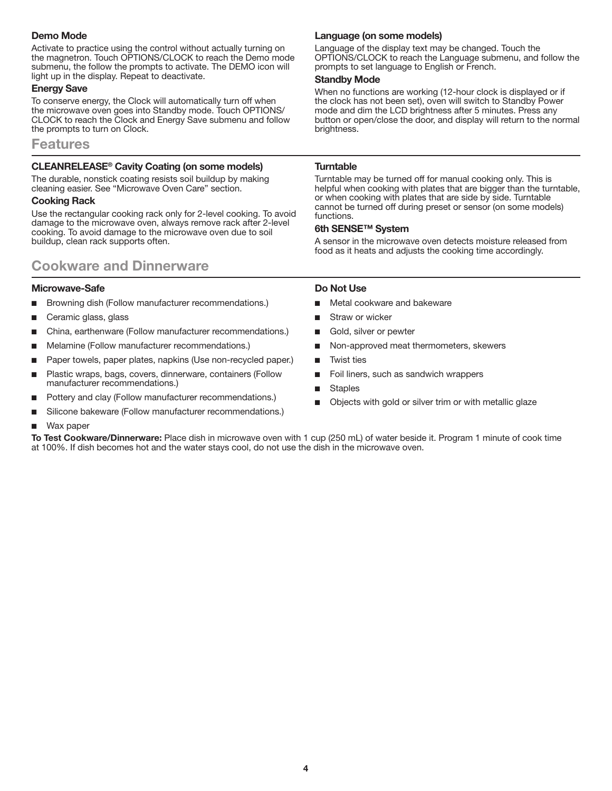#### **Demo Mode**

Activate to practice using the control without actually turning on the magnetron. Touch OPTIONS/CLOCK to reach the Demo mode submenu, the follow the prompts to activate. The DEMO icon will light up in the display. Repeat to deactivate.

#### **Energy Save**

To conserve energy, the Clock will automatically turn off when the microwave oven goes into Standby mode. Touch OPTIONS/ CLOCK to reach the Clock and Energy Save submenu and follow the prompts to turn on Clock.

#### **Features**

#### **CLEANRELEASE® Cavity Coating (on some models)**

The durable, nonstick coating resists soil buildup by making cleaning easier. See "Microwave Oven Care" section.

#### **Cooking Rack**

Use the rectangular cooking rack only for 2-level cooking. To avoid damage to the microwave oven, always remove rack after 2-level cooking. To avoid damage to the microwave oven due to soil buildup, clean rack supports often.

### **Cookware and Dinnerware**

#### **Microwave-Safe**

- Browning dish (Follow manufacturer recommendations.)
- Ceramic glass, glass
- China, earthenware (Follow manufacturer recommendations.)
- Melamine (Follow manufacturer recommendations.)
- Paper towels, paper plates, napkins (Use non-recycled paper.)
- Plastic wraps, bags, covers, dinnerware, containers (Follow manufacturer recommendations.)
- Pottery and clay (Follow manufacturer recommendations.)
- Silicone bakeware (Follow manufacturer recommendations.)

#### Wax paper

**To Test Cookware/Dinnerware:** Place dish in microwave oven with 1 cup (250 mL) of water beside it. Program 1 minute of cook time at 100%. If dish becomes hot and the water stays cool, do not use the dish in the microwave oven.

#### **Language (on some models)**

Language of the display text may be changed. Touch the OPTIONS/CLOCK to reach the Language submenu, and follow the prompts to set language to English or French.

#### **Standby Mode**

When no functions are working (12-hour clock is displayed or if the clock has not been set), oven will switch to Standby Power mode and dim the LCD brightness after 5 minutes. Press any button or open/close the door, and display will return to the normal brightness.

#### **Turntable**

Turntable may be turned off for manual cooking only. This is helpful when cooking with plates that are bigger than the turntable, or when cooking with plates that are side by side. Turntable cannot be turned off during preset or sensor (on some models) functions.

#### **6th SENSE™ System**

A sensor in the microwave oven detects moisture released from food as it heats and adjusts the cooking time accordingly.

#### **Do Not Use**

- Metal cookware and bakeware
- Straw or wicker
- Gold, silver or pewter
- Non-approved meat thermometers, skewers
- **Twist ties**
- Foil liners, such as sandwich wrappers
- **Staples**
- Objects with gold or silver trim or with metallic glaze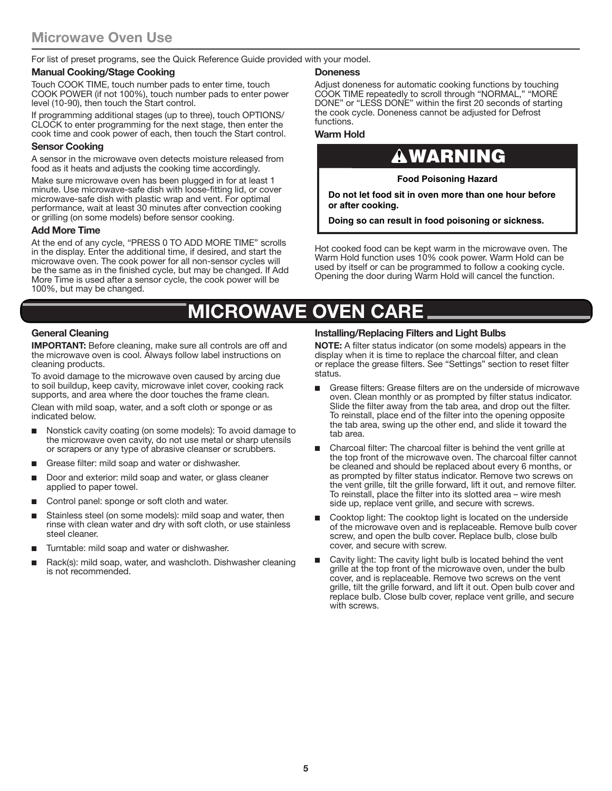For list of preset programs, see the Quick Reference Guide provided with your model.

#### **Manual Cooking/Stage Cooking**

Touch COOK TIME, touch number pads to enter time, touch COOK POWER (if not 100%), touch number pads to enter power level (10-90), then touch the Start control.

If programming additional stages (up to three), touch OPTIONS/ CLOCK to enter programming for the next stage, then enter the cook time and cook power of each, then touch the Start control.

#### **Sensor Cooking**

A sensor in the microwave oven detects moisture released from food as it heats and adjusts the cooking time accordingly.

Make sure microwave oven has been plugged in for at least 1 minute. Use microwave-safe dish with loose-fitting lid, or cover microwave-safe dish with plastic wrap and vent. For optimal performance, wait at least 30 minutes after convection cooking or grilling (on some models) before sensor cooking.

#### **Add More Time**

At the end of any cycle, "PRESS 0 TO ADD MORE TIME" scrolls in the display. Enter the additional time, if desired, and start the microwave oven. The cook power for all non-sensor cycles will be the same as in the finished cycle, but may be changed. If Add More Time is used after a sensor cycle, the cook power will be 100%, but may be changed.

#### **Doneness**

Adjust doneness for automatic cooking functions by touching COOK TIME repeatedly to scroll through "NORMAL," "MORE DONE" or "LESS DONE" within the first 20 seconds of starting the cook cycle. Doneness cannot be adjusted for Defrost functions.

#### **Warm Hold**

### WARNING

**Food Poisoning Hazard**

**Do not let food sit in oven more than one hour before or after cooking.**

**Doing so can result in food poisoning or sickness.**

Hot cooked food can be kept warm in the microwave oven. The Warm Hold function uses 10% cook power. Warm Hold can be used by itself or can be programmed to follow a cooking cycle. Opening the door during Warm Hold will cancel the function.

### **MICROWAVE OVEN CARE**

#### **General Cleaning**

**IMPORTANT:** Before cleaning, make sure all controls are off and the microwave oven is cool. Always follow label instructions on cleaning products.

To avoid damage to the microwave oven caused by arcing due to soil buildup, keep cavity, microwave inlet cover, cooking rack supports, and area where the door touches the frame clean.

Clean with mild soap, water, and a soft cloth or sponge or as indicated below.

- Nonstick cavity coating (on some models): To avoid damage to the microwave oven cavity, do not use metal or sharp utensils or scrapers or any type of abrasive cleanser or scrubbers.
- Grease filter: mild soap and water or dishwasher.
- Door and exterior: mild soap and water, or glass cleaner applied to paper towel.
- Control panel: sponge or soft cloth and water.
- Stainless steel (on some models): mild soap and water, then rinse with clean water and dry with soft cloth, or use stainless steel cleaner.
- Turntable: mild soap and water or dishwasher.
- Rack(s): mild soap, water, and washcloth. Dishwasher cleaning is not recommended.

#### **Installing/Replacing Filters and Light Bulbs**

**NOTE:** A filter status indicator (on some models) appears in the display when it is time to replace the charcoal filter, and clean or replace the grease filters. See "Settings" section to reset filter status.

- Grease filters: Grease filters are on the underside of microwave oven. Clean monthly or as prompted by filter status indicator. Slide the filter away from the tab area, and drop out the filter. To reinstall, place end of the filter into the opening opposite the tab area, swing up the other end, and slide it toward the tab area.
- Charcoal filter: The charcoal filter is behind the vent grille at the top front of the microwave oven. The charcoal filter cannot be cleaned and should be replaced about every 6 months, or as prompted by filter status indicator. Remove two screws on the vent grille, tilt the grille forward, lift it out, and remove filter. To reinstall, place the filter into its slotted area – wire mesh side up, replace vent grille, and secure with screws.
- Cooktop light: The cooktop light is located on the underside of the microwave oven and is replaceable. Remove bulb cover screw, and open the bulb cover. Replace bulb, close bulb cover, and secure with screw.
- Cavity light: The cavity light bulb is located behind the vent grille at the top front of the microwave oven, under the bulb cover, and is replaceable. Remove two screws on the vent grille, tilt the grille forward, and lift it out. Open bulb cover and replace bulb. Close bulb cover, replace vent grille, and secure with screws.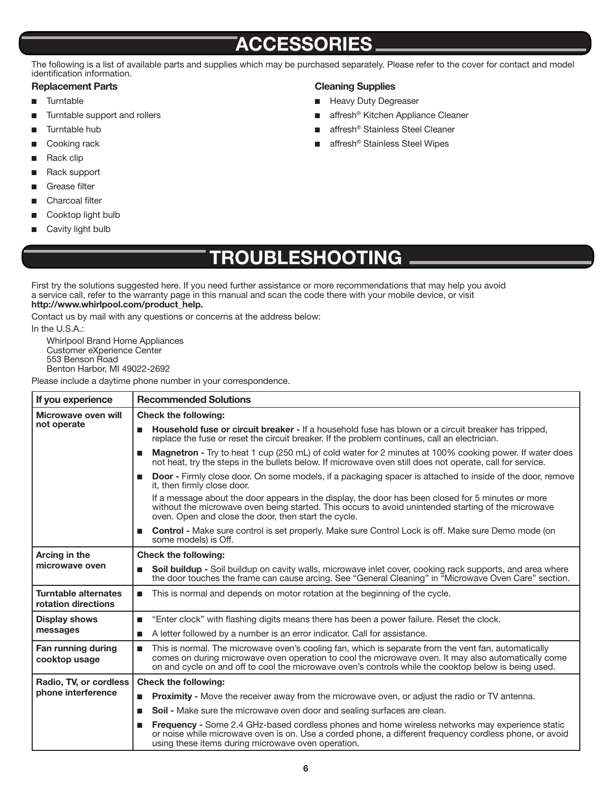### **ACCESSORIES**

The following is a list of available parts and supplies which may be purchased separately. Please refer to the cover for contact and model identification information.

#### **Replacement Parts**

- Turntable
- Turntable support and rollers
- Turntable hub
- Cooking rack
- Rack clip
- Rack support
- Grease filter
- Charcoal filter
- Cooktop light bulb
- Cavity light bulb

#### **Cleaning Supplies**

- Heavy Duty Degreaser
- affresh<sup>®</sup> Kitchen Appliance Cleaner
- affresh<sup>®</sup> Stainless Steel Cleaner
- affresh<sup>®</sup> Stainless Steel Wipes

**TROUBLESHOOTING**

First try the solutions suggested here. If you need further assistance or more recommendations that may help you avoid a service call, refer to the warranty page in this manual and scan the code there with your mobile device, or visit **http://www.whirlpool.com/product\_help.**

Contact us by mail with any questions or concerns at the address below:

In the U.S.A.:

Whirlpool Brand Home Appliances Customer eXperience Center 553 Benson Road Benton Harbor, MI 49022-2692

Please include a daytime phone number in your correspondence.

| If you experience                                  | <b>Recommended Solutions</b>                                                                                                                                                                                                                                                                                             |
|----------------------------------------------------|--------------------------------------------------------------------------------------------------------------------------------------------------------------------------------------------------------------------------------------------------------------------------------------------------------------------------|
| Microwave oven will<br>not operate                 | <b>Check the following:</b>                                                                                                                                                                                                                                                                                              |
|                                                    | Household fuse or circuit breaker - If a household fuse has blown or a circuit breaker has tripped.<br>ш<br>replace the fuse or reset the circuit breaker. If the problem continues, call an electrician.                                                                                                                |
|                                                    | Magnetron - Try to heat 1 cup (250 mL) of cold water for 2 minutes at 100% cooking power. If water does<br>■<br>not heat, try the steps in the bullets below. If microwave oven still does not operate, call for service.                                                                                                |
|                                                    | <b>Door</b> - Firmly close door. On some models, if a packaging spacer is attached to inside of the door, remove<br>п<br>it, then firmly close door.                                                                                                                                                                     |
|                                                    | If a message about the door appears in the display, the door has been closed for 5 minutes or more<br>without the microwave oven being started. This occurs to avoid unintended starting of the microwave<br>oven. Open and close the door, then start the cycle.                                                        |
|                                                    | <b>Control</b> - Make sure control is set properly. Make sure Control Lock is off. Make sure Demo mode (on<br>■<br>some models) is Off.                                                                                                                                                                                  |
| Arcing in the<br>microwave oven                    | <b>Check the following:</b>                                                                                                                                                                                                                                                                                              |
|                                                    | Soil buildup - Soil buildup on cavity walls, microwave inlet cover, cooking rack supports, and area where<br>п<br>the door touches the frame can cause arcing. See "General Cleaning" in "Microwave Oven Care" section.                                                                                                  |
| <b>Turntable alternates</b><br>rotation directions | ■ This is normal and depends on motor rotation at the beginning of the cycle.                                                                                                                                                                                                                                            |
| <b>Display shows</b><br>messages                   | "Enter clock" with flashing digits means there has been a power failure. Reset the clock.<br>П                                                                                                                                                                                                                           |
|                                                    | A letter followed by a number is an error indicator. Call for assistance.<br>п                                                                                                                                                                                                                                           |
| Fan running during<br>cooktop usage                | This is normal. The microwave oven's cooling fan, which is separate from the vent fan, automatically<br>п<br>comes on during microwave oven operation to cool the microwave oven. It may also automatically come<br>on and cycle on and off to cool the microwave oven's controls while the cooktop below is being used. |
| Radio, TV, or cordless                             | <b>Check the following:</b>                                                                                                                                                                                                                                                                                              |
| phone interference                                 | <b>Proximity -</b> Move the receiver away from the microwave oven, or adjust the radio or TV antenna.<br>п                                                                                                                                                                                                               |
|                                                    | Soil - Make sure the microwave oven door and sealing surfaces are clean.<br><b>In</b>                                                                                                                                                                                                                                    |
|                                                    | <b>Frequency</b> - Some 2.4 GHz-based cordless phones and home wireless networks may experience static<br>п<br>or noise while microwave oven is on. Use a corded phone, a different frequency cordless phone, or avoid<br>using these items during microwave oven operation.                                             |